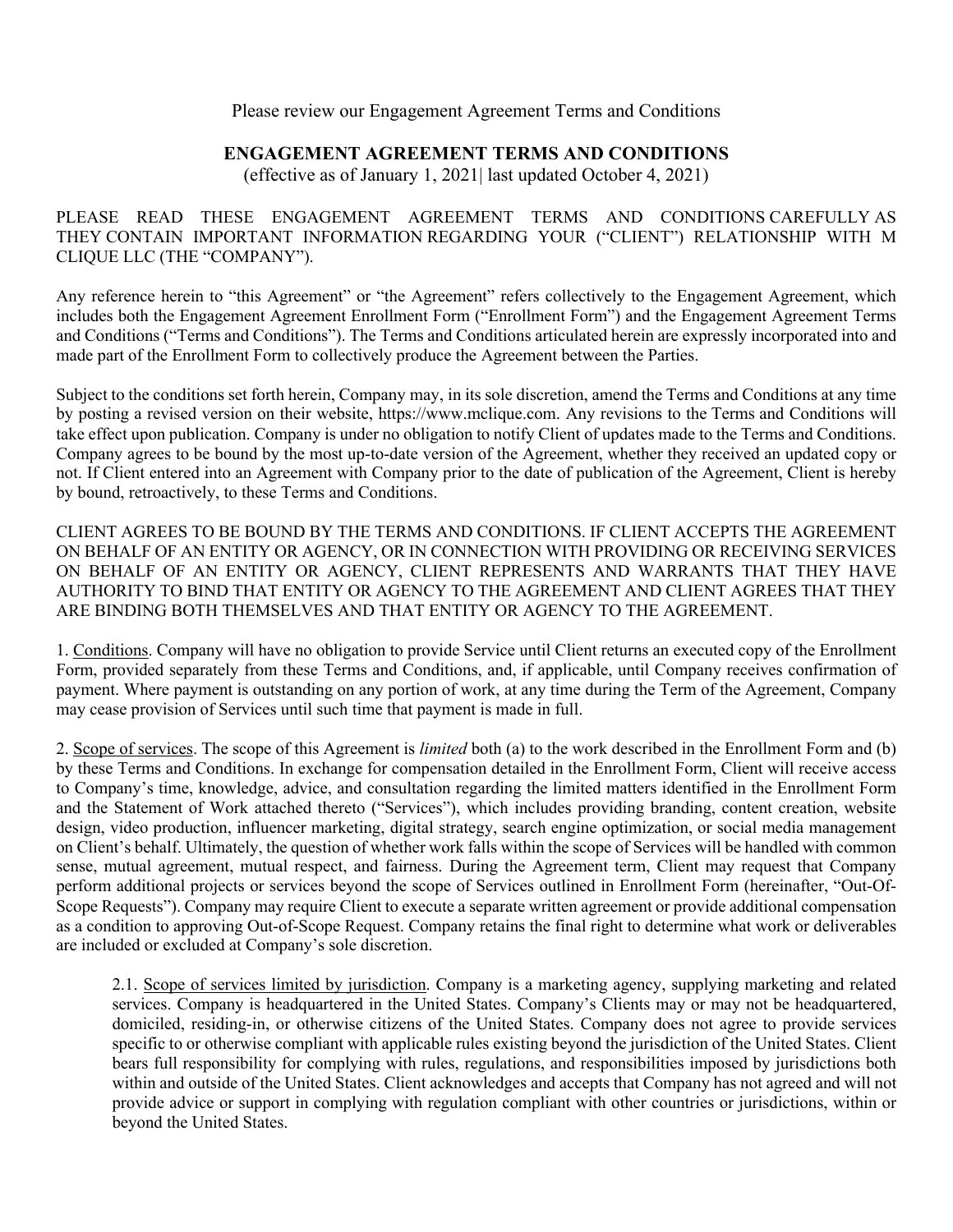## Please review our Engagement Agreement Terms and Conditions

## **ENGAGEMENT AGREEMENT TERMS AND CONDITIONS**

(effective as of January 1, 2021| last updated October 4, 2021)

PLEASE READ THESE ENGAGEMENT AGREEMENT TERMS AND CONDITIONS CAREFULLY AS THEY CONTAIN IMPORTANT INFORMATION REGARDING YOUR ("CLIENT") RELATIONSHIP WITH M CLIQUE LLC (THE "COMPANY").

Any reference herein to "this Agreement" or "the Agreement" refers collectively to the Engagement Agreement, which includes both the Engagement Agreement Enrollment Form ("Enrollment Form") and the Engagement Agreement Terms and Conditions ("Terms and Conditions"). The Terms and Conditions articulated herein are expressly incorporated into and made part of the Enrollment Form to collectively produce the Agreement between the Parties.

Subject to the conditions set forth herein, Company may, in its sole discretion, amend the Terms and Conditions at any time by posting a revised version on their website, https://www.mclique.com. Any revisions to the Terms and Conditions will take effect upon publication. Company is under no obligation to notify Client of updates made to the Terms and Conditions. Company agrees to be bound by the most up-to-date version of the Agreement, whether they received an updated copy or not. If Client entered into an Agreement with Company prior to the date of publication of the Agreement, Client is hereby by bound, retroactively, to these Terms and Conditions.

CLIENT AGREES TO BE BOUND BY THE TERMS AND CONDITIONS. IF CLIENT ACCEPTS THE AGREEMENT ON BEHALF OF AN ENTITY OR AGENCY, OR IN CONNECTION WITH PROVIDING OR RECEIVING SERVICES ON BEHALF OF AN ENTITY OR AGENCY, CLIENT REPRESENTS AND WARRANTS THAT THEY HAVE AUTHORITY TO BIND THAT ENTITY OR AGENCY TO THE AGREEMENT AND CLIENT AGREES THAT THEY ARE BINDING BOTH THEMSELVES AND THAT ENTITY OR AGENCY TO THE AGREEMENT.

1. Conditions. Company will have no obligation to provide Service until Client returns an executed copy of the Enrollment Form, provided separately from these Terms and Conditions, and, if applicable, until Company receives confirmation of payment. Where payment is outstanding on any portion of work, at any time during the Term of the Agreement, Company may cease provision of Services until such time that payment is made in full.

2. Scope of services. The scope of this Agreement is *limited* both (a) to the work described in the Enrollment Form and (b) by these Terms and Conditions. In exchange for compensation detailed in the Enrollment Form, Client will receive access to Company's time, knowledge, advice, and consultation regarding the limited matters identified in the Enrollment Form and the Statement of Work attached thereto ("Services"), which includes providing branding, content creation, website design, video production, influencer marketing, digital strategy, search engine optimization, or social media management on Client's behalf. Ultimately, the question of whether work falls within the scope of Services will be handled with common sense, mutual agreement, mutual respect, and fairness. During the Agreement term, Client may request that Company perform additional projects or services beyond the scope of Services outlined in Enrollment Form (hereinafter, "Out-Of-Scope Requests"). Company may require Client to execute a separate written agreement or provide additional compensation as a condition to approving Out-of-Scope Request. Company retains the final right to determine what work or deliverables are included or excluded at Company's sole discretion.

2.1. Scope of services limited by jurisdiction. Company is a marketing agency, supplying marketing and related services. Company is headquartered in the United States. Company's Clients may or may not be headquartered, domiciled, residing-in, or otherwise citizens of the United States. Company does not agree to provide services specific to or otherwise compliant with applicable rules existing beyond the jurisdiction of the United States. Client bears full responsibility for complying with rules, regulations, and responsibilities imposed by jurisdictions both within and outside of the United States. Client acknowledges and accepts that Company has not agreed and will not provide advice or support in complying with regulation compliant with other countries or jurisdictions, within or beyond the United States.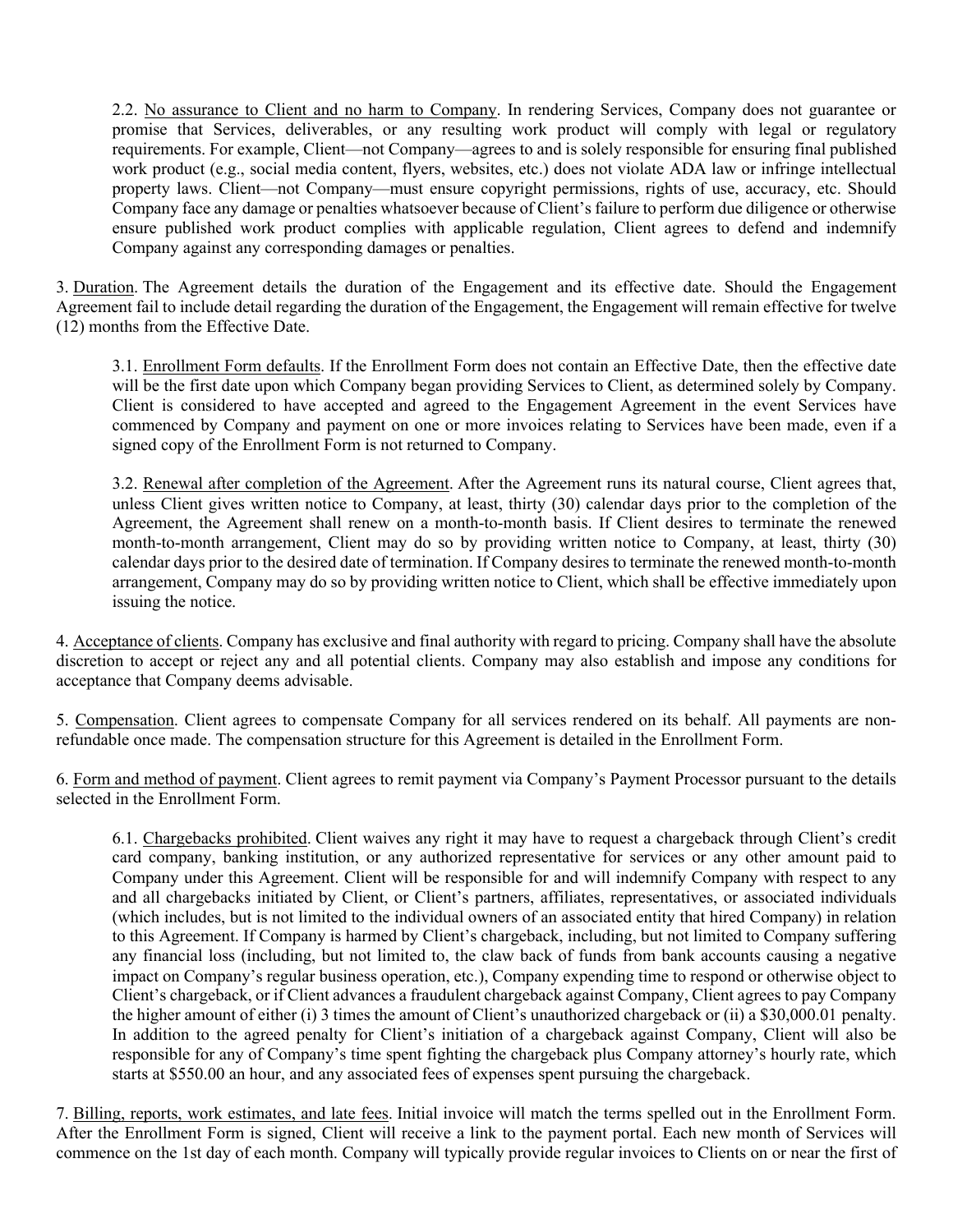2.2. No assurance to Client and no harm to Company. In rendering Services, Company does not guarantee or promise that Services, deliverables, or any resulting work product will comply with legal or regulatory requirements. For example, Client—not Company—agrees to and is solely responsible for ensuring final published work product (e.g., social media content, flyers, websites, etc.) does not violate ADA law or infringe intellectual property laws. Client—not Company—must ensure copyright permissions, rights of use, accuracy, etc. Should Company face any damage or penalties whatsoever because of Client's failure to perform due diligence or otherwise ensure published work product complies with applicable regulation, Client agrees to defend and indemnify Company against any corresponding damages or penalties.

3. Duration. The Agreement details the duration of the Engagement and its effective date. Should the Engagement Agreement fail to include detail regarding the duration of the Engagement, the Engagement will remain effective for twelve (12) months from the Effective Date.

3.1. Enrollment Form defaults. If the Enrollment Form does not contain an Effective Date, then the effective date will be the first date upon which Company began providing Services to Client, as determined solely by Company. Client is considered to have accepted and agreed to the Engagement Agreement in the event Services have commenced by Company and payment on one or more invoices relating to Services have been made, even if a signed copy of the Enrollment Form is not returned to Company.

3.2. Renewal after completion of the Agreement. After the Agreement runs its natural course, Client agrees that, unless Client gives written notice to Company, at least, thirty (30) calendar days prior to the completion of the Agreement, the Agreement shall renew on a month-to-month basis. If Client desires to terminate the renewed month-to-month arrangement, Client may do so by providing written notice to Company, at least, thirty (30) calendar days prior to the desired date of termination. If Company desires to terminate the renewed month-to-month arrangement, Company may do so by providing written notice to Client, which shall be effective immediately upon issuing the notice.

4. Acceptance of clients. Company has exclusive and final authority with regard to pricing. Company shall have the absolute discretion to accept or reject any and all potential clients. Company may also establish and impose any conditions for acceptance that Company deems advisable.

5. Compensation. Client agrees to compensate Company for all services rendered on its behalf. All payments are nonrefundable once made. The compensation structure for this Agreement is detailed in the Enrollment Form.

6. Form and method of payment. Client agrees to remit payment via Company's Payment Processor pursuant to the details selected in the Enrollment Form.

6.1. Chargebacks prohibited. Client waives any right it may have to request a chargeback through Client's credit card company, banking institution, or any authorized representative for services or any other amount paid to Company under this Agreement. Client will be responsible for and will indemnify Company with respect to any and all chargebacks initiated by Client, or Client's partners, affiliates, representatives, or associated individuals (which includes, but is not limited to the individual owners of an associated entity that hired Company) in relation to this Agreement. If Company is harmed by Client's chargeback, including, but not limited to Company suffering any financial loss (including, but not limited to, the claw back of funds from bank accounts causing a negative impact on Company's regular business operation, etc.), Company expending time to respond or otherwise object to Client's chargeback, or if Client advances a fraudulent chargeback against Company, Client agrees to pay Company the higher amount of either (i) 3 times the amount of Client's unauthorized chargeback or (ii) a \$30,000.01 penalty. In addition to the agreed penalty for Client's initiation of a chargeback against Company, Client will also be responsible for any of Company's time spent fighting the chargeback plus Company attorney's hourly rate, which starts at \$550.00 an hour, and any associated fees of expenses spent pursuing the chargeback.

7. Billing, reports, work estimates, and late fees. Initial invoice will match the terms spelled out in the Enrollment Form. After the Enrollment Form is signed, Client will receive a link to the payment portal. Each new month of Services will commence on the 1st day of each month. Company will typically provide regular invoices to Clients on or near the first of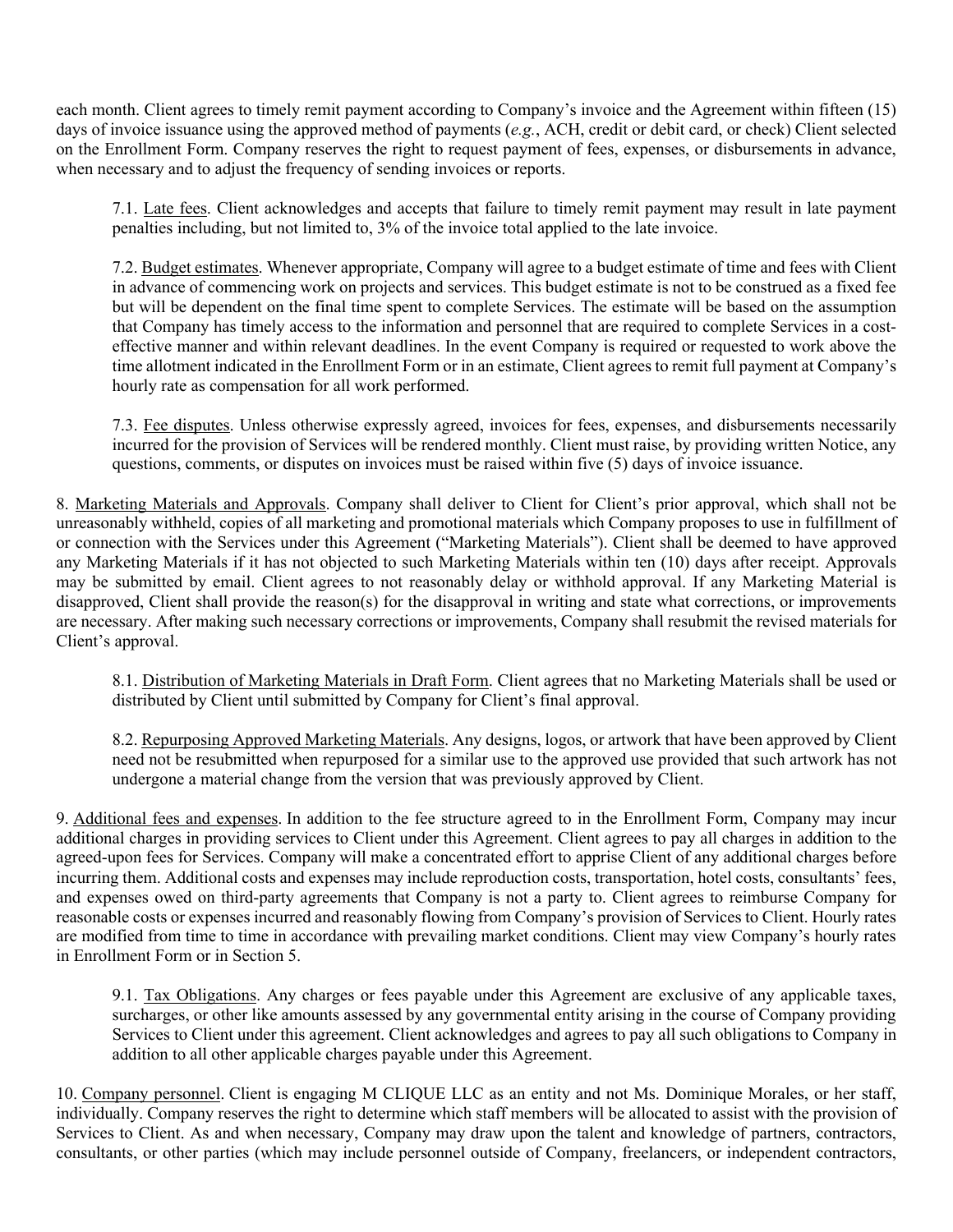each month. Client agrees to timely remit payment according to Company's invoice and the Agreement within fifteen (15) days of invoice issuance using the approved method of payments (*e.g.*, ACH, credit or debit card, or check) Client selected on the Enrollment Form. Company reserves the right to request payment of fees, expenses, or disbursements in advance, when necessary and to adjust the frequency of sending invoices or reports.

7.1. Late fees. Client acknowledges and accepts that failure to timely remit payment may result in late payment penalties including, but not limited to, 3% of the invoice total applied to the late invoice.

7.2. Budget estimates. Whenever appropriate, Company will agree to a budget estimate of time and fees with Client in advance of commencing work on projects and services. This budget estimate is not to be construed as a fixed fee but will be dependent on the final time spent to complete Services. The estimate will be based on the assumption that Company has timely access to the information and personnel that are required to complete Services in a costeffective manner and within relevant deadlines. In the event Company is required or requested to work above the time allotment indicated in the Enrollment Form or in an estimate, Client agrees to remit full payment at Company's hourly rate as compensation for all work performed.

7.3. Fee disputes. Unless otherwise expressly agreed, invoices for fees, expenses, and disbursements necessarily incurred for the provision of Services will be rendered monthly. Client must raise, by providing written Notice, any questions, comments, or disputes on invoices must be raised within five (5) days of invoice issuance.

8. Marketing Materials and Approvals. Company shall deliver to Client for Client's prior approval, which shall not be unreasonably withheld, copies of all marketing and promotional materials which Company proposes to use in fulfillment of or connection with the Services under this Agreement ("Marketing Materials"). Client shall be deemed to have approved any Marketing Materials if it has not objected to such Marketing Materials within ten (10) days after receipt. Approvals may be submitted by email. Client agrees to not reasonably delay or withhold approval. If any Marketing Material is disapproved, Client shall provide the reason(s) for the disapproval in writing and state what corrections, or improvements are necessary. After making such necessary corrections or improvements, Company shall resubmit the revised materials for Client's approval.

8.1. Distribution of Marketing Materials in Draft Form. Client agrees that no Marketing Materials shall be used or distributed by Client until submitted by Company for Client's final approval.

8.2. Repurposing Approved Marketing Materials. Any designs, logos, or artwork that have been approved by Client need not be resubmitted when repurposed for a similar use to the approved use provided that such artwork has not undergone a material change from the version that was previously approved by Client.

9. Additional fees and expenses. In addition to the fee structure agreed to in the Enrollment Form, Company may incur additional charges in providing services to Client under this Agreement. Client agrees to pay all charges in addition to the agreed-upon fees for Services. Company will make a concentrated effort to apprise Client of any additional charges before incurring them. Additional costs and expenses may include reproduction costs, transportation, hotel costs, consultants' fees, and expenses owed on third-party agreements that Company is not a party to. Client agrees to reimburse Company for reasonable costs or expenses incurred and reasonably flowing from Company's provision of Services to Client. Hourly rates are modified from time to time in accordance with prevailing market conditions. Client may view Company's hourly rates in Enrollment Form or in Section 5.

9.1. Tax Obligations. Any charges or fees payable under this Agreement are exclusive of any applicable taxes, surcharges, or other like amounts assessed by any governmental entity arising in the course of Company providing Services to Client under this agreement. Client acknowledges and agrees to pay all such obligations to Company in addition to all other applicable charges payable under this Agreement.

10. Company personnel. Client is engaging M CLIQUE LLC as an entity and not Ms. Dominique Morales, or her staff, individually. Company reserves the right to determine which staff members will be allocated to assist with the provision of Services to Client. As and when necessary, Company may draw upon the talent and knowledge of partners, contractors, consultants, or other parties (which may include personnel outside of Company, freelancers, or independent contractors,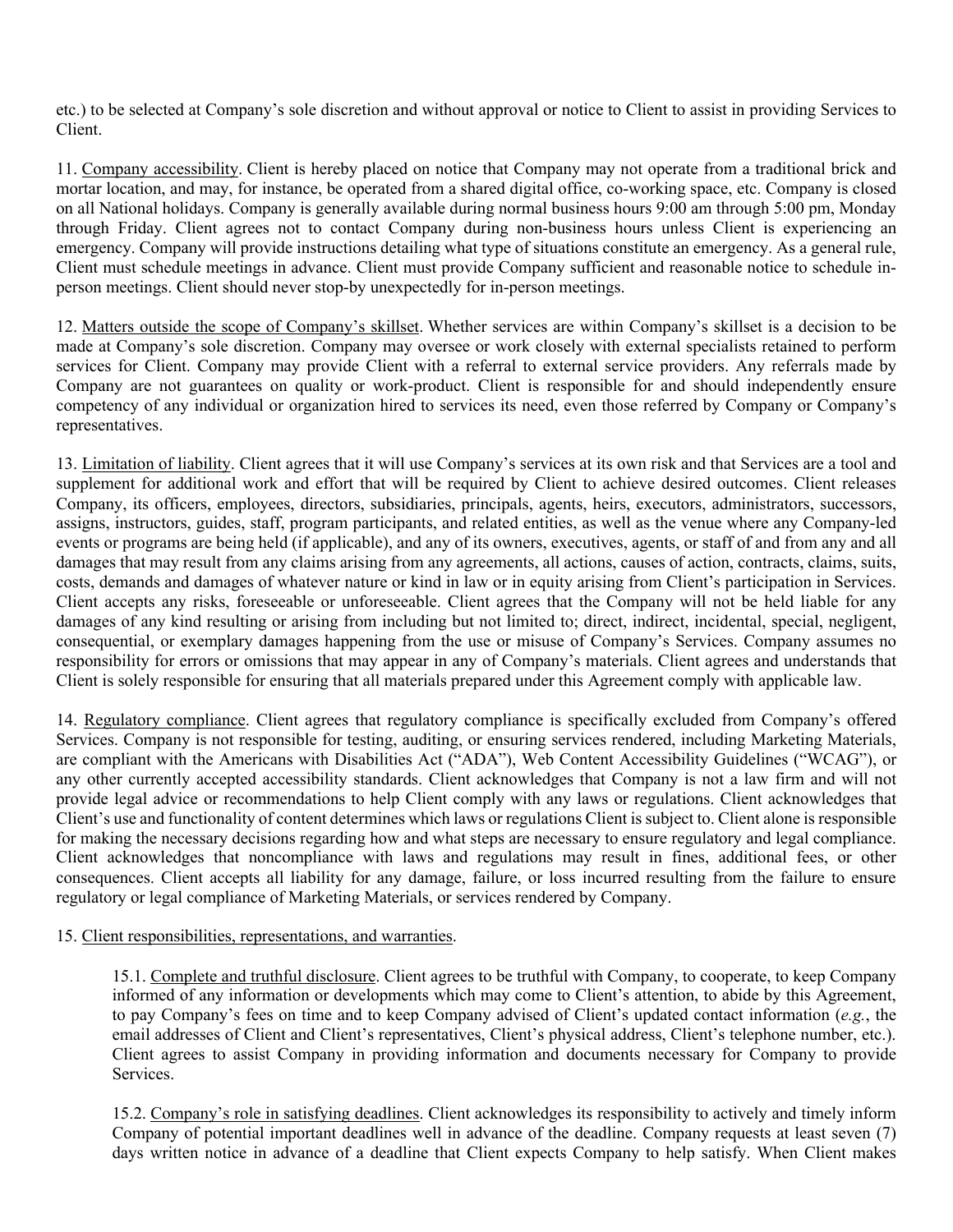etc.) to be selected at Company's sole discretion and without approval or notice to Client to assist in providing Services to Client.

11. Company accessibility. Client is hereby placed on notice that Company may not operate from a traditional brick and mortar location, and may, for instance, be operated from a shared digital office, co-working space, etc. Company is closed on all National holidays. Company is generally available during normal business hours 9:00 am through 5:00 pm, Monday through Friday. Client agrees not to contact Company during non-business hours unless Client is experiencing an emergency. Company will provide instructions detailing what type of situations constitute an emergency. As a general rule, Client must schedule meetings in advance. Client must provide Company sufficient and reasonable notice to schedule inperson meetings. Client should never stop-by unexpectedly for in-person meetings.

12. Matters outside the scope of Company's skillset. Whether services are within Company's skillset is a decision to be made at Company's sole discretion. Company may oversee or work closely with external specialists retained to perform services for Client. Company may provide Client with a referral to external service providers. Any referrals made by Company are not guarantees on quality or work-product. Client is responsible for and should independently ensure competency of any individual or organization hired to services its need, even those referred by Company or Company's representatives.

13. Limitation of liability. Client agrees that it will use Company's services at its own risk and that Services are a tool and supplement for additional work and effort that will be required by Client to achieve desired outcomes. Client releases Company, its officers, employees, directors, subsidiaries, principals, agents, heirs, executors, administrators, successors, assigns, instructors, guides, staff, program participants, and related entities, as well as the venue where any Company-led events or programs are being held (if applicable), and any of its owners, executives, agents, or staff of and from any and all damages that may result from any claims arising from any agreements, all actions, causes of action, contracts, claims, suits, costs, demands and damages of whatever nature or kind in law or in equity arising from Client's participation in Services. Client accepts any risks, foreseeable or unforeseeable. Client agrees that the Company will not be held liable for any damages of any kind resulting or arising from including but not limited to; direct, indirect, incidental, special, negligent, consequential, or exemplary damages happening from the use or misuse of Company's Services. Company assumes no responsibility for errors or omissions that may appear in any of Company's materials. Client agrees and understands that Client is solely responsible for ensuring that all materials prepared under this Agreement comply with applicable law.

14. Regulatory compliance. Client agrees that regulatory compliance is specifically excluded from Company's offered Services. Company is not responsible for testing, auditing, or ensuring services rendered, including Marketing Materials, are compliant with the Americans with Disabilities Act ("ADA"), Web Content Accessibility Guidelines ("WCAG"), or any other currently accepted accessibility standards. Client acknowledges that Company is not a law firm and will not provide legal advice or recommendations to help Client comply with any laws or regulations. Client acknowledges that Client's use and functionality of content determines which laws or regulations Client is subject to. Client alone is responsible for making the necessary decisions regarding how and what steps are necessary to ensure regulatory and legal compliance. Client acknowledges that noncompliance with laws and regulations may result in fines, additional fees, or other consequences. Client accepts all liability for any damage, failure, or loss incurred resulting from the failure to ensure regulatory or legal compliance of Marketing Materials, or services rendered by Company.

## 15. Client responsibilities, representations, and warranties.

15.1. Complete and truthful disclosure. Client agrees to be truthful with Company, to cooperate, to keep Company informed of any information or developments which may come to Client's attention, to abide by this Agreement, to pay Company's fees on time and to keep Company advised of Client's updated contact information (*e.g.*, the email addresses of Client and Client's representatives, Client's physical address, Client's telephone number, etc.). Client agrees to assist Company in providing information and documents necessary for Company to provide **Services** 

15.2. Company's role in satisfying deadlines. Client acknowledges its responsibility to actively and timely inform Company of potential important deadlines well in advance of the deadline. Company requests at least seven (7) days written notice in advance of a deadline that Client expects Company to help satisfy. When Client makes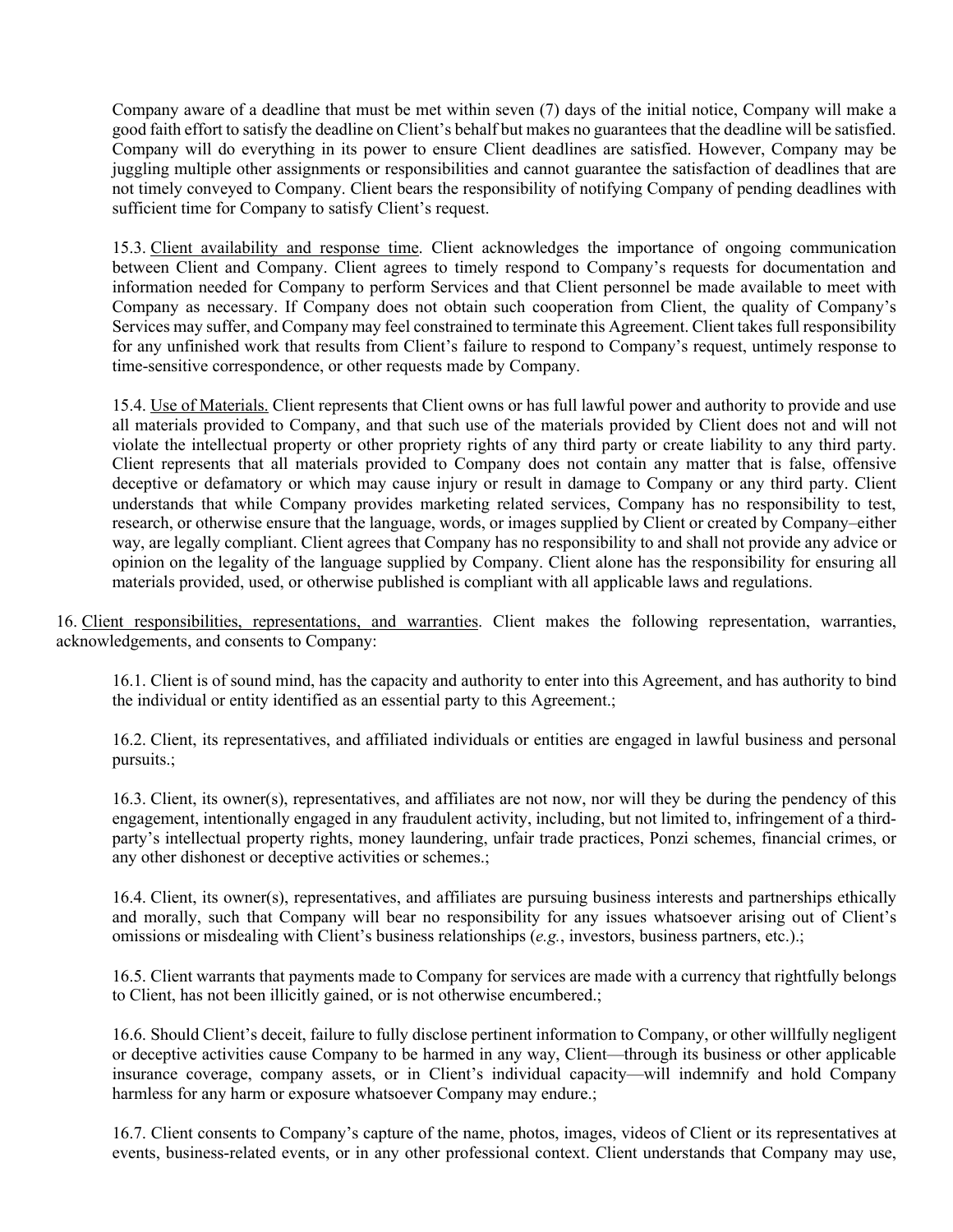Company aware of a deadline that must be met within seven (7) days of the initial notice, Company will make a good faith effort to satisfy the deadline on Client's behalf but makes no guarantees that the deadline will be satisfied. Company will do everything in its power to ensure Client deadlines are satisfied. However, Company may be juggling multiple other assignments or responsibilities and cannot guarantee the satisfaction of deadlines that are not timely conveyed to Company. Client bears the responsibility of notifying Company of pending deadlines with sufficient time for Company to satisfy Client's request.

15.3. Client availability and response time. Client acknowledges the importance of ongoing communication between Client and Company. Client agrees to timely respond to Company's requests for documentation and information needed for Company to perform Services and that Client personnel be made available to meet with Company as necessary. If Company does not obtain such cooperation from Client, the quality of Company's Services may suffer, and Company may feel constrained to terminate this Agreement. Client takes full responsibility for any unfinished work that results from Client's failure to respond to Company's request, untimely response to time-sensitive correspondence, or other requests made by Company.

15.4. Use of Materials. Client represents that Client owns or has full lawful power and authority to provide and use all materials provided to Company, and that such use of the materials provided by Client does not and will not violate the intellectual property or other propriety rights of any third party or create liability to any third party. Client represents that all materials provided to Company does not contain any matter that is false, offensive deceptive or defamatory or which may cause injury or result in damage to Company or any third party. Client understands that while Company provides marketing related services, Company has no responsibility to test, research, or otherwise ensure that the language, words, or images supplied by Client or created by Company–either way, are legally compliant. Client agrees that Company has no responsibility to and shall not provide any advice or opinion on the legality of the language supplied by Company. Client alone has the responsibility for ensuring all materials provided, used, or otherwise published is compliant with all applicable laws and regulations.

16. Client responsibilities, representations, and warranties. Client makes the following representation, warranties, acknowledgements, and consents to Company:

16.1. Client is of sound mind, has the capacity and authority to enter into this Agreement, and has authority to bind the individual or entity identified as an essential party to this Agreement.;

16.2. Client, its representatives, and affiliated individuals or entities are engaged in lawful business and personal pursuits.;

16.3. Client, its owner(s), representatives, and affiliates are not now, nor will they be during the pendency of this engagement, intentionally engaged in any fraudulent activity, including, but not limited to, infringement of a thirdparty's intellectual property rights, money laundering, unfair trade practices, Ponzi schemes, financial crimes, or any other dishonest or deceptive activities or schemes.;

16.4. Client, its owner(s), representatives, and affiliates are pursuing business interests and partnerships ethically and morally, such that Company will bear no responsibility for any issues whatsoever arising out of Client's omissions or misdealing with Client's business relationships (*e.g.*, investors, business partners, etc.).;

16.5. Client warrants that payments made to Company for services are made with a currency that rightfully belongs to Client, has not been illicitly gained, or is not otherwise encumbered.;

16.6. Should Client's deceit, failure to fully disclose pertinent information to Company, or other willfully negligent or deceptive activities cause Company to be harmed in any way, Client—through its business or other applicable insurance coverage, company assets, or in Client's individual capacity—will indemnify and hold Company harmless for any harm or exposure whatsoever Company may endure.;

16.7. Client consents to Company's capture of the name, photos, images, videos of Client or its representatives at events, business-related events, or in any other professional context. Client understands that Company may use,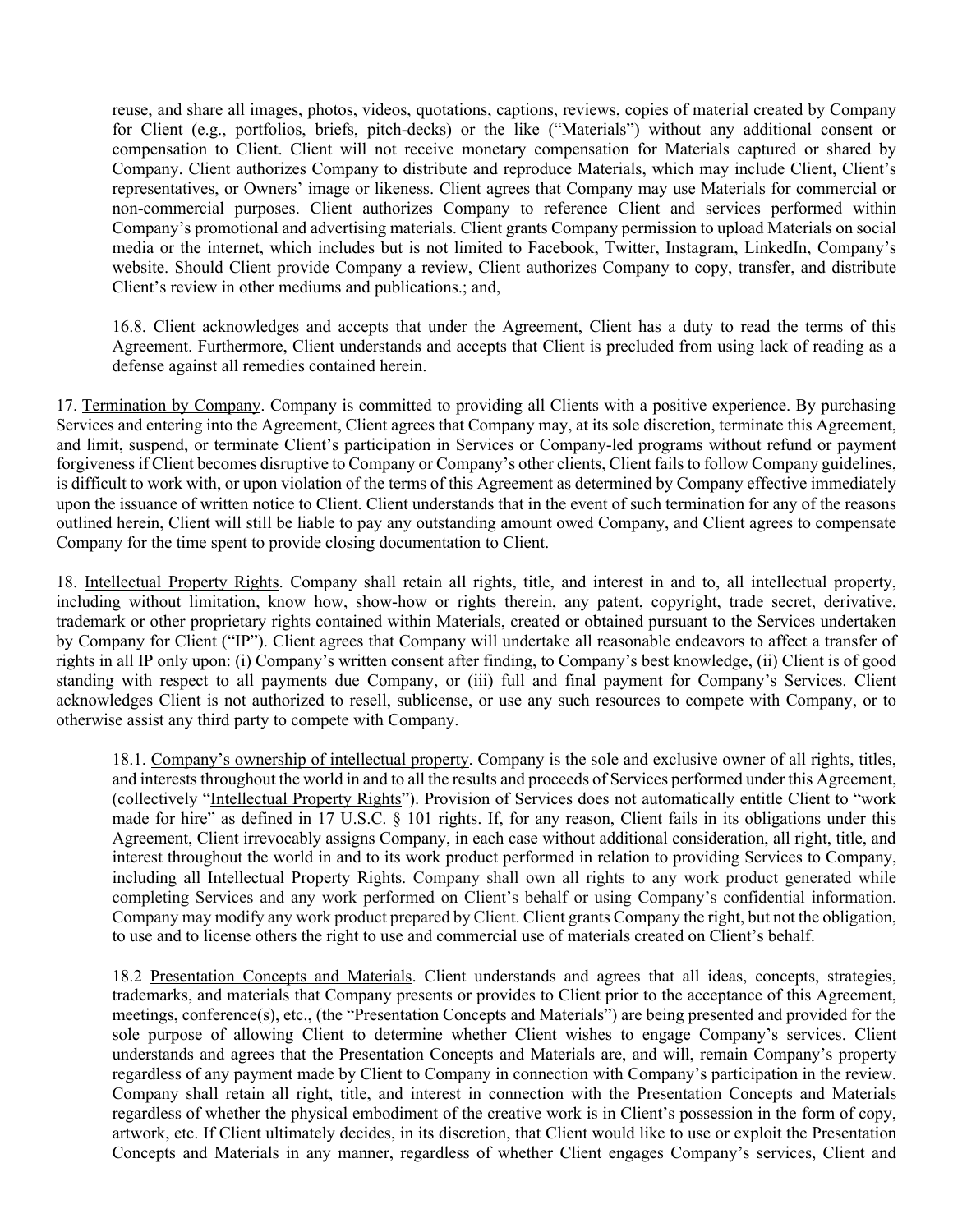reuse, and share all images, photos, videos, quotations, captions, reviews, copies of material created by Company for Client (e.g., portfolios, briefs, pitch-decks) or the like ("Materials") without any additional consent or compensation to Client. Client will not receive monetary compensation for Materials captured or shared by Company. Client authorizes Company to distribute and reproduce Materials, which may include Client, Client's representatives, or Owners' image or likeness. Client agrees that Company may use Materials for commercial or non-commercial purposes. Client authorizes Company to reference Client and services performed within Company's promotional and advertising materials. Client grants Company permission to upload Materials on social media or the internet, which includes but is not limited to Facebook, Twitter, Instagram, LinkedIn, Company's website. Should Client provide Company a review, Client authorizes Company to copy, transfer, and distribute Client's review in other mediums and publications.; and,

16.8. Client acknowledges and accepts that under the Agreement, Client has a duty to read the terms of this Agreement. Furthermore, Client understands and accepts that Client is precluded from using lack of reading as a defense against all remedies contained herein.

17. Termination by Company. Company is committed to providing all Clients with a positive experience. By purchasing Services and entering into the Agreement, Client agrees that Company may, at its sole discretion, terminate this Agreement, and limit, suspend, or terminate Client's participation in Services or Company-led programs without refund or payment forgiveness if Client becomes disruptive to Company or Company's other clients, Client fails to follow Company guidelines, is difficult to work with, or upon violation of the terms of this Agreement as determined by Company effective immediately upon the issuance of written notice to Client. Client understands that in the event of such termination for any of the reasons outlined herein, Client will still be liable to pay any outstanding amount owed Company, and Client agrees to compensate Company for the time spent to provide closing documentation to Client.

18. Intellectual Property Rights. Company shall retain all rights, title, and interest in and to, all intellectual property, including without limitation, know how, show-how or rights therein, any patent, copyright, trade secret, derivative, trademark or other proprietary rights contained within Materials, created or obtained pursuant to the Services undertaken by Company for Client ("IP"). Client agrees that Company will undertake all reasonable endeavors to affect a transfer of rights in all IP only upon: (i) Company's written consent after finding, to Company's best knowledge, (ii) Client is of good standing with respect to all payments due Company, or (iii) full and final payment for Company's Services. Client acknowledges Client is not authorized to resell, sublicense, or use any such resources to compete with Company, or to otherwise assist any third party to compete with Company.

18.1. Company's ownership of intellectual property. Company is the sole and exclusive owner of all rights, titles, and interests throughout the world in and to all the results and proceeds of Services performed under this Agreement, (collectively "Intellectual Property Rights"). Provision of Services does not automatically entitle Client to "work made for hire" as defined in 17 U.S.C. § 101 rights. If, for any reason, Client fails in its obligations under this Agreement, Client irrevocably assigns Company, in each case without additional consideration, all right, title, and interest throughout the world in and to its work product performed in relation to providing Services to Company, including all Intellectual Property Rights. Company shall own all rights to any work product generated while completing Services and any work performed on Client's behalf or using Company's confidential information. Company may modify any work product prepared by Client. Client grants Company the right, but not the obligation, to use and to license others the right to use and commercial use of materials created on Client's behalf.

18.2 Presentation Concepts and Materials. Client understands and agrees that all ideas, concepts, strategies, trademarks, and materials that Company presents or provides to Client prior to the acceptance of this Agreement, meetings, conference(s), etc., (the "Presentation Concepts and Materials") are being presented and provided for the sole purpose of allowing Client to determine whether Client wishes to engage Company's services. Client understands and agrees that the Presentation Concepts and Materials are, and will, remain Company's property regardless of any payment made by Client to Company in connection with Company's participation in the review. Company shall retain all right, title, and interest in connection with the Presentation Concepts and Materials regardless of whether the physical embodiment of the creative work is in Client's possession in the form of copy, artwork, etc. If Client ultimately decides, in its discretion, that Client would like to use or exploit the Presentation Concepts and Materials in any manner, regardless of whether Client engages Company's services, Client and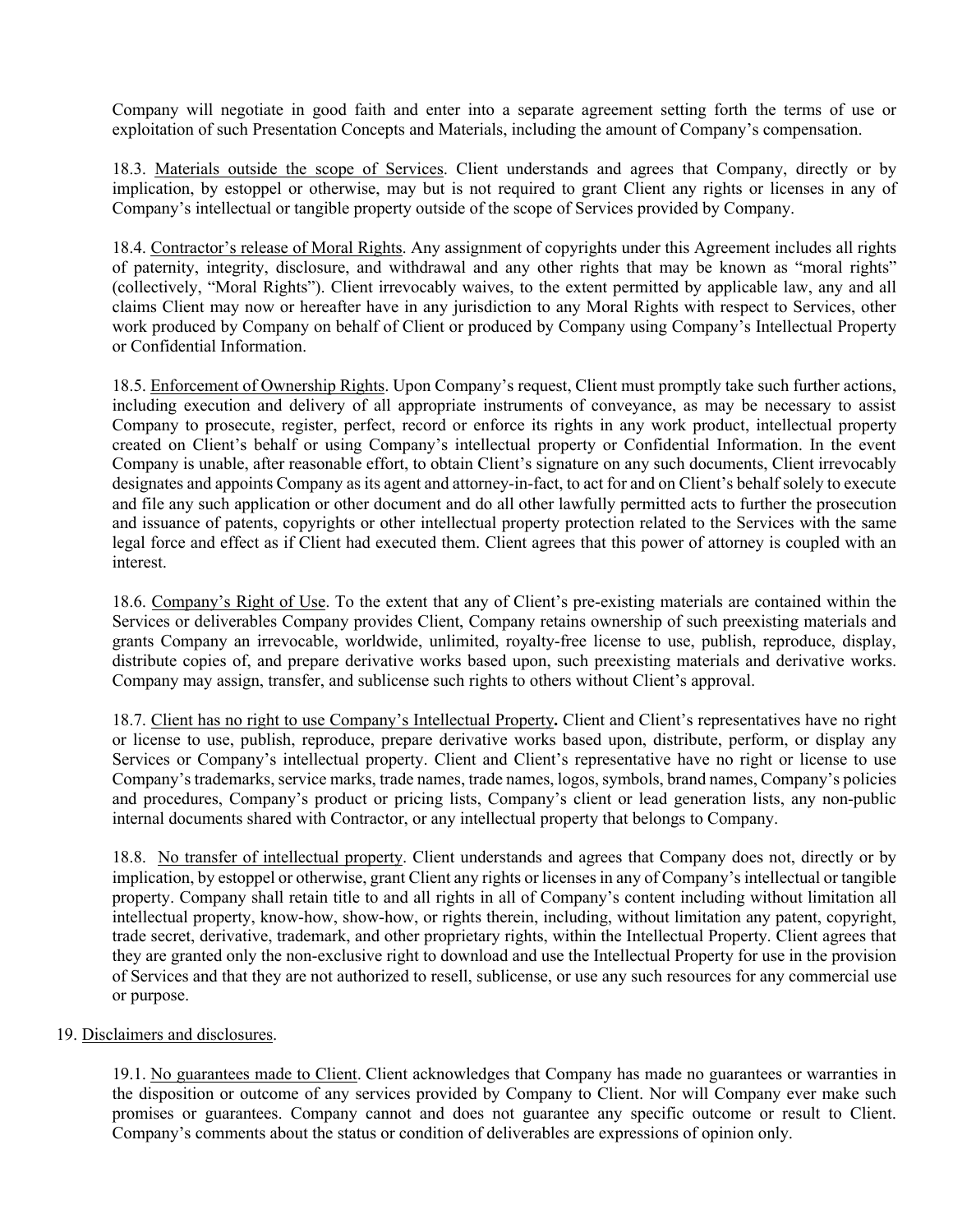Company will negotiate in good faith and enter into a separate agreement setting forth the terms of use or exploitation of such Presentation Concepts and Materials, including the amount of Company's compensation.

18.3. Materials outside the scope of Services. Client understands and agrees that Company, directly or by implication, by estoppel or otherwise, may but is not required to grant Client any rights or licenses in any of Company's intellectual or tangible property outside of the scope of Services provided by Company.

18.4. Contractor's release of Moral Rights. Any assignment of copyrights under this Agreement includes all rights of paternity, integrity, disclosure, and withdrawal and any other rights that may be known as "moral rights" (collectively, "Moral Rights"). Client irrevocably waives, to the extent permitted by applicable law, any and all claims Client may now or hereafter have in any jurisdiction to any Moral Rights with respect to Services, other work produced by Company on behalf of Client or produced by Company using Company's Intellectual Property or Confidential Information.

18.5. Enforcement of Ownership Rights. Upon Company's request, Client must promptly take such further actions, including execution and delivery of all appropriate instruments of conveyance, as may be necessary to assist Company to prosecute, register, perfect, record or enforce its rights in any work product, intellectual property created on Client's behalf or using Company's intellectual property or Confidential Information. In the event Company is unable, after reasonable effort, to obtain Client's signature on any such documents, Client irrevocably designates and appoints Company as its agent and attorney-in-fact, to act for and on Client's behalf solely to execute and file any such application or other document and do all other lawfully permitted acts to further the prosecution and issuance of patents, copyrights or other intellectual property protection related to the Services with the same legal force and effect as if Client had executed them. Client agrees that this power of attorney is coupled with an interest.

18.6. Company's Right of Use. To the extent that any of Client's pre-existing materials are contained within the Services or deliverables Company provides Client, Company retains ownership of such preexisting materials and grants Company an irrevocable, worldwide, unlimited, royalty-free license to use, publish, reproduce, display, distribute copies of, and prepare derivative works based upon, such preexisting materials and derivative works. Company may assign, transfer, and sublicense such rights to others without Client's approval.

18.7. Client has no right to use Company's Intellectual Property**.** Client and Client's representatives have no right or license to use, publish, reproduce, prepare derivative works based upon, distribute, perform, or display any Services or Company's intellectual property. Client and Client's representative have no right or license to use Company's trademarks, service marks, trade names, trade names, logos, symbols, brand names, Company's policies and procedures, Company's product or pricing lists, Company's client or lead generation lists, any non-public internal documents shared with Contractor, or any intellectual property that belongs to Company.

18.8. No transfer of intellectual property. Client understands and agrees that Company does not, directly or by implication, by estoppel or otherwise, grant Client any rights or licenses in any of Company's intellectual or tangible property. Company shall retain title to and all rights in all of Company's content including without limitation all intellectual property, know-how, show-how, or rights therein, including, without limitation any patent, copyright, trade secret, derivative, trademark, and other proprietary rights, within the Intellectual Property. Client agrees that they are granted only the non-exclusive right to download and use the Intellectual Property for use in the provision of Services and that they are not authorized to resell, sublicense, or use any such resources for any commercial use or purpose.

## 19. Disclaimers and disclosures.

19.1. No guarantees made to Client. Client acknowledges that Company has made no guarantees or warranties in the disposition or outcome of any services provided by Company to Client. Nor will Company ever make such promises or guarantees. Company cannot and does not guarantee any specific outcome or result to Client. Company's comments about the status or condition of deliverables are expressions of opinion only.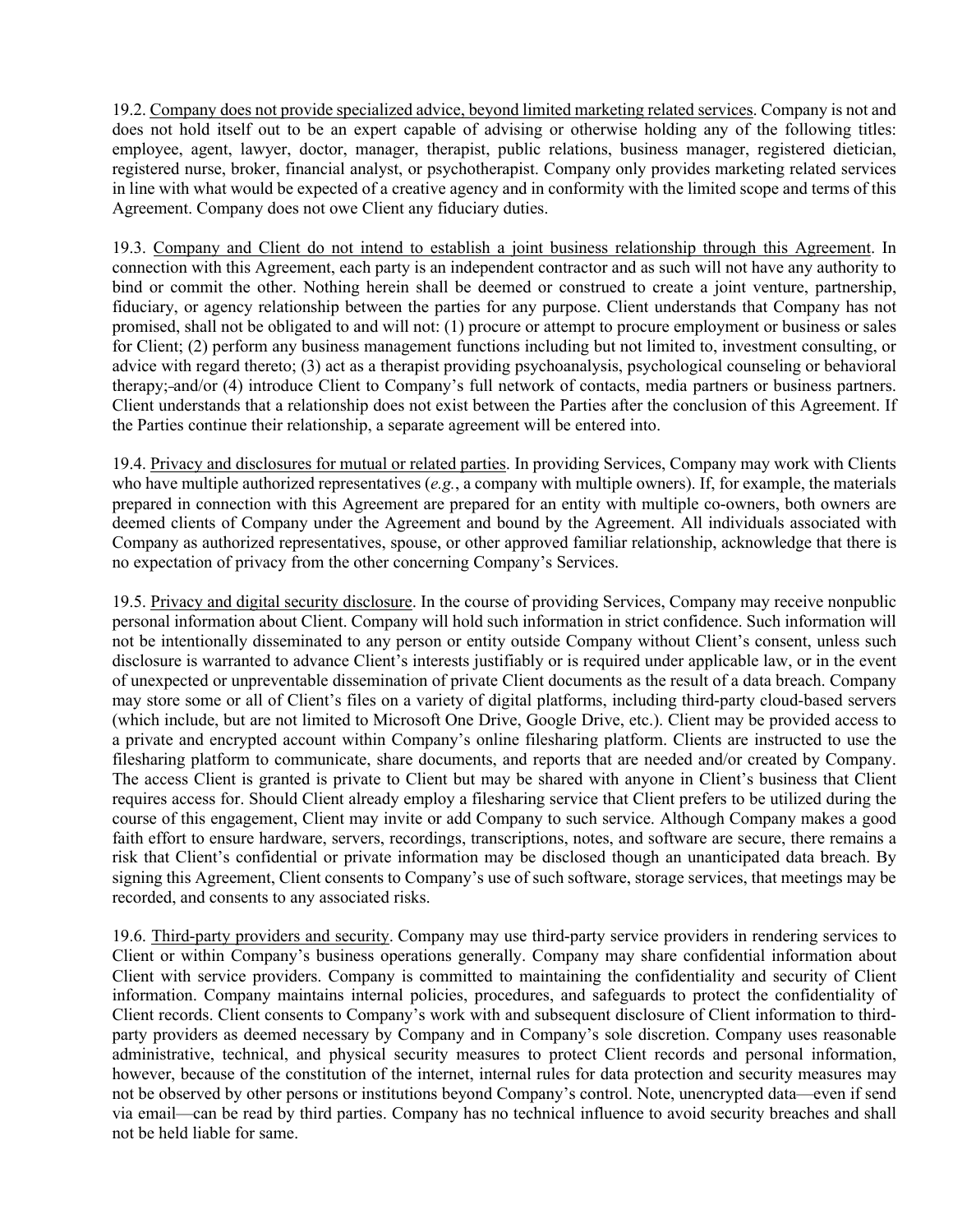19.2. Company does not provide specialized advice, beyond limited marketing related services. Company is not and does not hold itself out to be an expert capable of advising or otherwise holding any of the following titles: employee, agent, lawyer, doctor, manager, therapist, public relations, business manager, registered dietician, registered nurse, broker, financial analyst, or psychotherapist. Company only provides marketing related services in line with what would be expected of a creative agency and in conformity with the limited scope and terms of this Agreement. Company does not owe Client any fiduciary duties.

19.3. Company and Client do not intend to establish a joint business relationship through this Agreement. In connection with this Agreement, each party is an independent contractor and as such will not have any authority to bind or commit the other. Nothing herein shall be deemed or construed to create a joint venture, partnership, fiduciary, or agency relationship between the parties for any purpose. Client understands that Company has not promised, shall not be obligated to and will not: (1) procure or attempt to procure employment or business or sales for Client; (2) perform any business management functions including but not limited to, investment consulting, or advice with regard thereto; (3) act as a therapist providing psychoanalysis, psychological counseling or behavioral therapy; and/or (4) introduce Client to Company's full network of contacts, media partners or business partners. Client understands that a relationship does not exist between the Parties after the conclusion of this Agreement. If the Parties continue their relationship, a separate agreement will be entered into.

19.4. Privacy and disclosures for mutual or related parties. In providing Services, Company may work with Clients who have multiple authorized representatives (*e.g.*, a company with multiple owners). If, for example, the materials prepared in connection with this Agreement are prepared for an entity with multiple co-owners, both owners are deemed clients of Company under the Agreement and bound by the Agreement. All individuals associated with Company as authorized representatives, spouse, or other approved familiar relationship, acknowledge that there is no expectation of privacy from the other concerning Company's Services.

19.5. Privacy and digital security disclosure. In the course of providing Services, Company may receive nonpublic personal information about Client. Company will hold such information in strict confidence. Such information will not be intentionally disseminated to any person or entity outside Company without Client's consent, unless such disclosure is warranted to advance Client's interests justifiably or is required under applicable law, or in the event of unexpected or unpreventable dissemination of private Client documents as the result of a data breach. Company may store some or all of Client's files on a variety of digital platforms, including third-party cloud-based servers (which include, but are not limited to Microsoft One Drive, Google Drive, etc.). Client may be provided access to a private and encrypted account within Company's online filesharing platform. Clients are instructed to use the filesharing platform to communicate, share documents, and reports that are needed and/or created by Company. The access Client is granted is private to Client but may be shared with anyone in Client's business that Client requires access for. Should Client already employ a filesharing service that Client prefers to be utilized during the course of this engagement, Client may invite or add Company to such service. Although Company makes a good faith effort to ensure hardware, servers, recordings, transcriptions, notes, and software are secure, there remains a risk that Client's confidential or private information may be disclosed though an unanticipated data breach. By signing this Agreement, Client consents to Company's use of such software, storage services, that meetings may be recorded, and consents to any associated risks.

19.6. Third-party providers and security. Company may use third-party service providers in rendering services to Client or within Company's business operations generally. Company may share confidential information about Client with service providers. Company is committed to maintaining the confidentiality and security of Client information. Company maintains internal policies, procedures, and safeguards to protect the confidentiality of Client records. Client consents to Company's work with and subsequent disclosure of Client information to thirdparty providers as deemed necessary by Company and in Company's sole discretion. Company uses reasonable administrative, technical, and physical security measures to protect Client records and personal information, however, because of the constitution of the internet, internal rules for data protection and security measures may not be observed by other persons or institutions beyond Company's control. Note, unencrypted data—even if send via email—can be read by third parties. Company has no technical influence to avoid security breaches and shall not be held liable for same.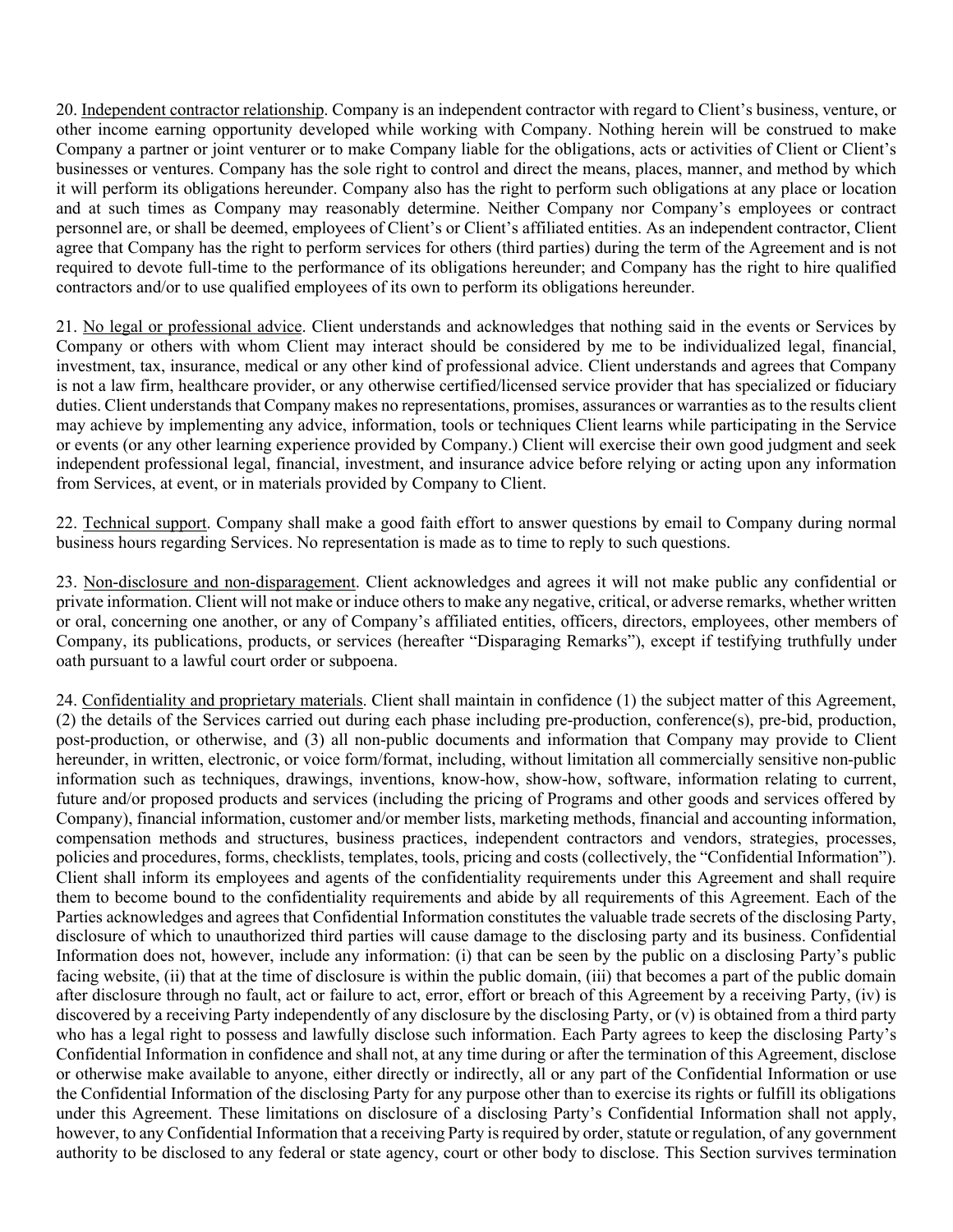20. Independent contractor relationship. Company is an independent contractor with regard to Client's business, venture, or other income earning opportunity developed while working with Company. Nothing herein will be construed to make Company a partner or joint venturer or to make Company liable for the obligations, acts or activities of Client or Client's businesses or ventures. Company has the sole right to control and direct the means, places, manner, and method by which it will perform its obligations hereunder. Company also has the right to perform such obligations at any place or location and at such times as Company may reasonably determine. Neither Company nor Company's employees or contract personnel are, or shall be deemed, employees of Client's or Client's affiliated entities. As an independent contractor, Client agree that Company has the right to perform services for others (third parties) during the term of the Agreement and is not required to devote full-time to the performance of its obligations hereunder; and Company has the right to hire qualified contractors and/or to use qualified employees of its own to perform its obligations hereunder.

21. No legal or professional advice. Client understands and acknowledges that nothing said in the events or Services by Company or others with whom Client may interact should be considered by me to be individualized legal, financial, investment, tax, insurance, medical or any other kind of professional advice. Client understands and agrees that Company is not a law firm, healthcare provider, or any otherwise certified/licensed service provider that has specialized or fiduciary duties. Client understands that Company makes no representations, promises, assurances or warranties as to the results client may achieve by implementing any advice, information, tools or techniques Client learns while participating in the Service or events (or any other learning experience provided by Company.) Client will exercise their own good judgment and seek independent professional legal, financial, investment, and insurance advice before relying or acting upon any information from Services, at event, or in materials provided by Company to Client.

22. Technical support. Company shall make a good faith effort to answer questions by email to Company during normal business hours regarding Services. No representation is made as to time to reply to such questions.

23. Non-disclosure and non-disparagement. Client acknowledges and agrees it will not make public any confidential or private information. Client will not make or induce others to make any negative, critical, or adverse remarks, whether written or oral, concerning one another, or any of Company's affiliated entities, officers, directors, employees, other members of Company, its publications, products, or services (hereafter "Disparaging Remarks"), except if testifying truthfully under oath pursuant to a lawful court order or subpoena.

24. Confidentiality and proprietary materials. Client shall maintain in confidence (1) the subject matter of this Agreement, (2) the details of the Services carried out during each phase including pre-production, conference(s), pre-bid, production, post-production, or otherwise, and (3) all non-public documents and information that Company may provide to Client hereunder, in written, electronic, or voice form/format, including, without limitation all commercially sensitive non-public information such as techniques, drawings, inventions, know-how, show-how, software, information relating to current, future and/or proposed products and services (including the pricing of Programs and other goods and services offered by Company), financial information, customer and/or member lists, marketing methods, financial and accounting information, compensation methods and structures, business practices, independent contractors and vendors, strategies, processes, policies and procedures, forms, checklists, templates, tools, pricing and costs (collectively, the "Confidential Information"). Client shall inform its employees and agents of the confidentiality requirements under this Agreement and shall require them to become bound to the confidentiality requirements and abide by all requirements of this Agreement. Each of the Parties acknowledges and agrees that Confidential Information constitutes the valuable trade secrets of the disclosing Party, disclosure of which to unauthorized third parties will cause damage to the disclosing party and its business. Confidential Information does not, however, include any information: (i) that can be seen by the public on a disclosing Party's public facing website, (ii) that at the time of disclosure is within the public domain, (iii) that becomes a part of the public domain after disclosure through no fault, act or failure to act, error, effort or breach of this Agreement by a receiving Party, (iv) is discovered by a receiving Party independently of any disclosure by the disclosing Party, or (v) is obtained from a third party who has a legal right to possess and lawfully disclose such information. Each Party agrees to keep the disclosing Party's Confidential Information in confidence and shall not, at any time during or after the termination of this Agreement, disclose or otherwise make available to anyone, either directly or indirectly, all or any part of the Confidential Information or use the Confidential Information of the disclosing Party for any purpose other than to exercise its rights or fulfill its obligations under this Agreement. These limitations on disclosure of a disclosing Party's Confidential Information shall not apply, however, to any Confidential Information that a receiving Party is required by order, statute or regulation, of any government authority to be disclosed to any federal or state agency, court or other body to disclose. This Section survives termination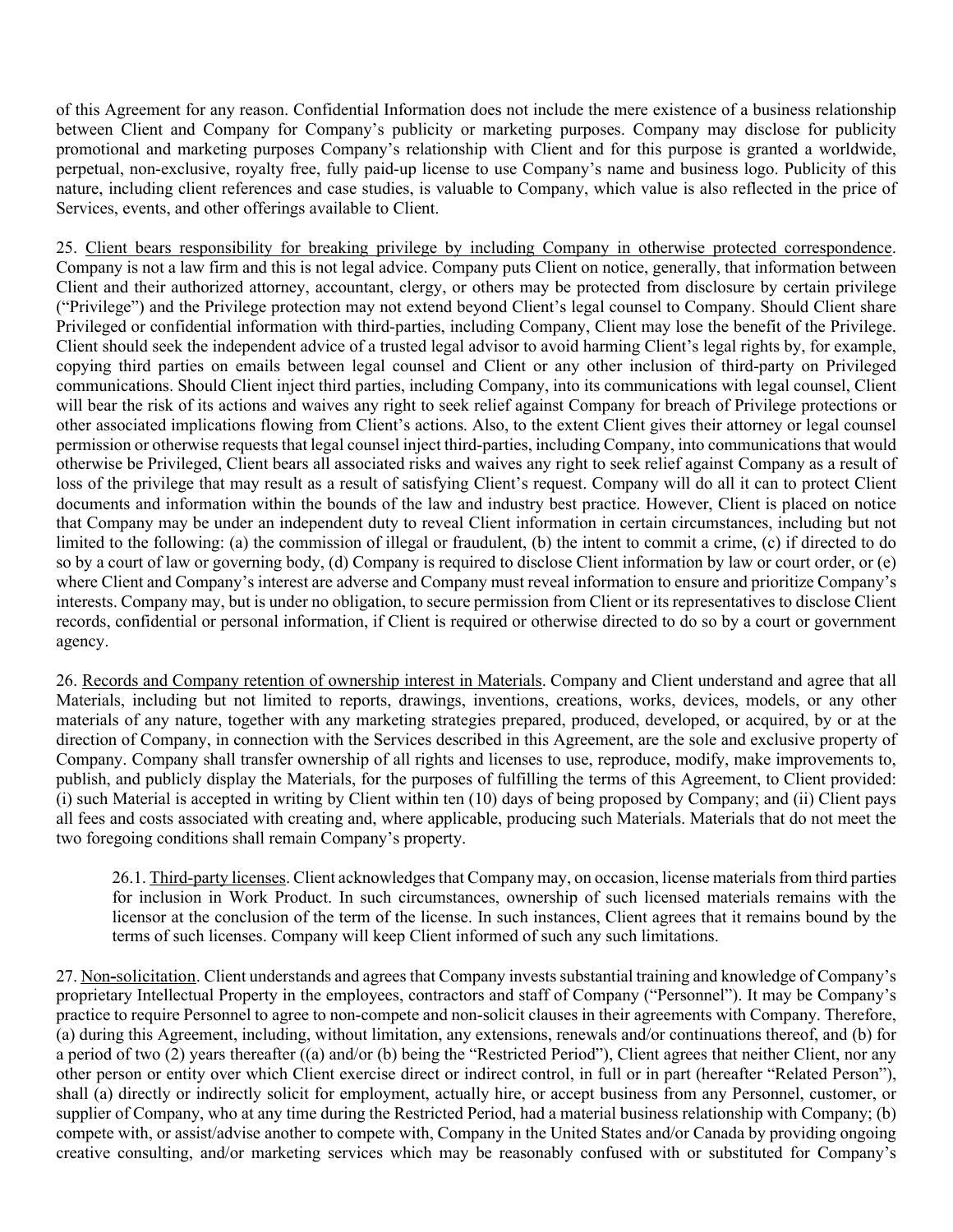of this Agreement for any reason. Confidential Information does not include the mere existence of a business relationship between Client and Company for Company's publicity or marketing purposes. Company may disclose for publicity promotional and marketing purposes Company's relationship with Client and for this purpose is granted a worldwide, perpetual, non-exclusive, royalty free, fully paid-up license to use Company's name and business logo. Publicity of this nature, including client references and case studies, is valuable to Company, which value is also reflected in the price of Services, events, and other offerings available to Client.

25. Client bears responsibility for breaking privilege by including Company in otherwise protected correspondence. Company is not a law firm and this is not legal advice. Company puts Client on notice, generally, that information between Client and their authorized attorney, accountant, clergy, or others may be protected from disclosure by certain privilege ("Privilege") and the Privilege protection may not extend beyond Client's legal counsel to Company. Should Client share Privileged or confidential information with third-parties, including Company, Client may lose the benefit of the Privilege. Client should seek the independent advice of a trusted legal advisor to avoid harming Client's legal rights by, for example, copying third parties on emails between legal counsel and Client or any other inclusion of third-party on Privileged communications. Should Client inject third parties, including Company, into its communications with legal counsel, Client will bear the risk of its actions and waives any right to seek relief against Company for breach of Privilege protections or other associated implications flowing from Client's actions. Also, to the extent Client gives their attorney or legal counsel permission or otherwise requests that legal counsel inject third-parties, including Company, into communications that would otherwise be Privileged, Client bears all associated risks and waives any right to seek relief against Company as a result of loss of the privilege that may result as a result of satisfying Client's request. Company will do all it can to protect Client documents and information within the bounds of the law and industry best practice. However, Client is placed on notice that Company may be under an independent duty to reveal Client information in certain circumstances, including but not limited to the following: (a) the commission of illegal or fraudulent, (b) the intent to commit a crime, (c) if directed to do so by a court of law or governing body, (d) Company is required to disclose Client information by law or court order, or (e) where Client and Company's interest are adverse and Company must reveal information to ensure and prioritize Company's interests. Company may, but is under no obligation, to secure permission from Client or its representatives to disclose Client records, confidential or personal information, if Client is required or otherwise directed to do so by a court or government agency.

26. Records and Company retention of ownership interest in Materials. Company and Client understand and agree that all Materials, including but not limited to reports, drawings, inventions, creations, works, devices, models, or any other materials of any nature, together with any marketing strategies prepared, produced, developed, or acquired, by or at the direction of Company, in connection with the Services described in this Agreement, are the sole and exclusive property of Company. Company shall transfer ownership of all rights and licenses to use, reproduce, modify, make improvements to, publish, and publicly display the Materials, for the purposes of fulfilling the terms of this Agreement, to Client provided: (i) such Material is accepted in writing by Client within ten (10) days of being proposed by Company; and (ii) Client pays all fees and costs associated with creating and, where applicable, producing such Materials. Materials that do not meet the two foregoing conditions shall remain Company's property.

26.1. Third-party licenses. Client acknowledges that Company may, on occasion, license materials from third parties for inclusion in Work Product. In such circumstances, ownership of such licensed materials remains with the licensor at the conclusion of the term of the license. In such instances, Client agrees that it remains bound by the terms of such licenses. Company will keep Client informed of such any such limitations.

27. Non**-**solicitation. Client understands and agrees that Company invests substantial training and knowledge of Company's proprietary Intellectual Property in the employees, contractors and staff of Company ("Personnel"). It may be Company's practice to require Personnel to agree to non-compete and non-solicit clauses in their agreements with Company. Therefore, (a) during this Agreement, including, without limitation, any extensions, renewals and/or continuations thereof, and (b) for a period of two (2) years thereafter ((a) and/or (b) being the "Restricted Period"), Client agrees that neither Client, nor any other person or entity over which Client exercise direct or indirect control, in full or in part (hereafter "Related Person"), shall (a) directly or indirectly solicit for employment, actually hire, or accept business from any Personnel, customer, or supplier of Company, who at any time during the Restricted Period, had a material business relationship with Company; (b) compete with, or assist/advise another to compete with, Company in the United States and/or Canada by providing ongoing creative consulting, and/or marketing services which may be reasonably confused with or substituted for Company's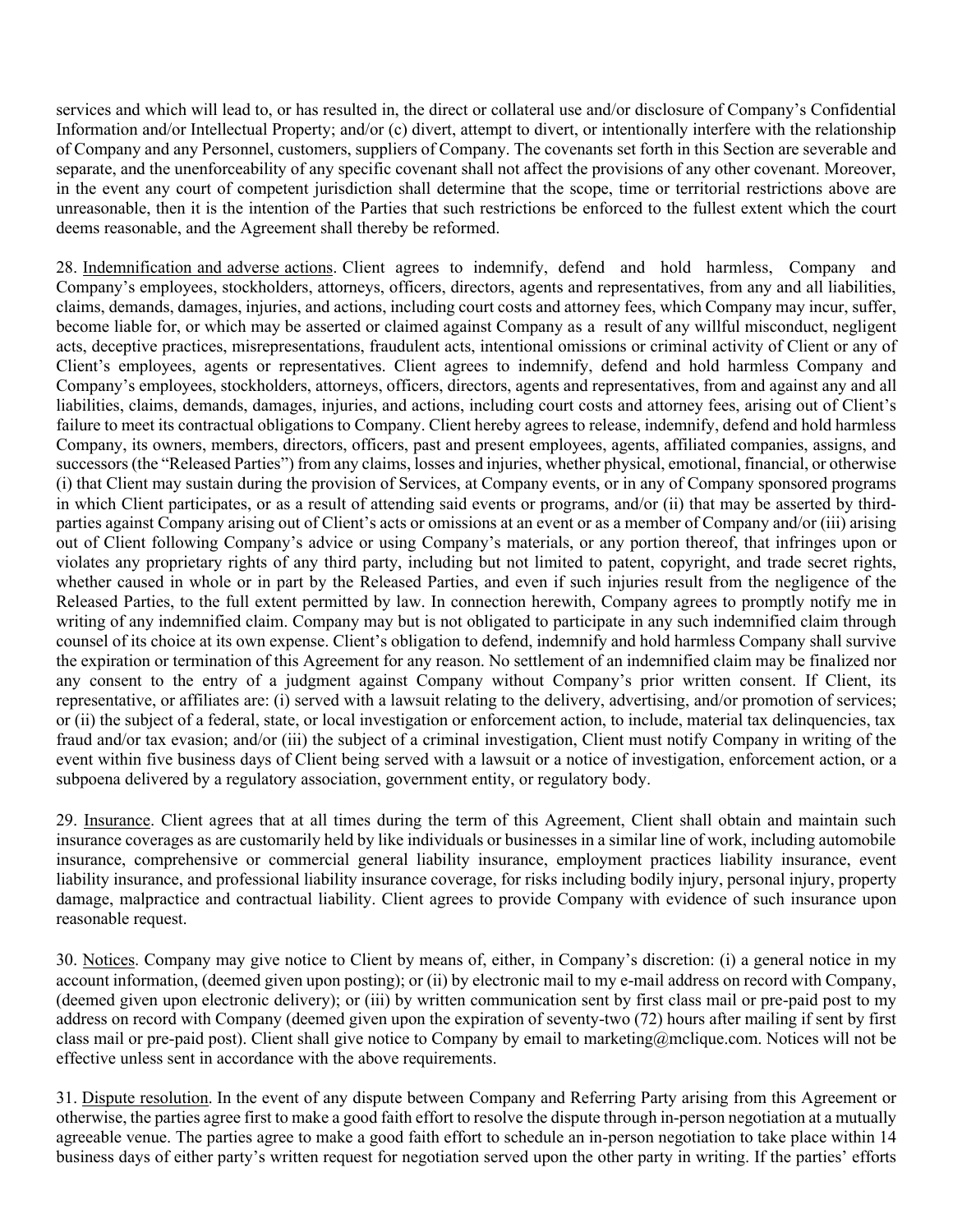services and which will lead to, or has resulted in, the direct or collateral use and/or disclosure of Company's Confidential Information and/or Intellectual Property; and/or (c) divert, attempt to divert, or intentionally interfere with the relationship of Company and any Personnel, customers, suppliers of Company. The covenants set forth in this Section are severable and separate, and the unenforceability of any specific covenant shall not affect the provisions of any other covenant. Moreover, in the event any court of competent jurisdiction shall determine that the scope, time or territorial restrictions above are unreasonable, then it is the intention of the Parties that such restrictions be enforced to the fullest extent which the court deems reasonable, and the Agreement shall thereby be reformed.

28. Indemnification and adverse actions. Client agrees to indemnify, defend and hold harmless, Company and Company's employees, stockholders, attorneys, officers, directors, agents and representatives, from any and all liabilities, claims, demands, damages, injuries, and actions, including court costs and attorney fees, which Company may incur, suffer, become liable for, or which may be asserted or claimed against Company as a result of any willful misconduct, negligent acts, deceptive practices, misrepresentations, fraudulent acts, intentional omissions or criminal activity of Client or any of Client's employees, agents or representatives. Client agrees to indemnify, defend and hold harmless Company and Company's employees, stockholders, attorneys, officers, directors, agents and representatives, from and against any and all liabilities, claims, demands, damages, injuries, and actions, including court costs and attorney fees, arising out of Client's failure to meet its contractual obligations to Company. Client hereby agrees to release, indemnify, defend and hold harmless Company, its owners, members, directors, officers, past and present employees, agents, affiliated companies, assigns, and successors (the "Released Parties") from any claims, losses and injuries, whether physical, emotional, financial, or otherwise (i) that Client may sustain during the provision of Services, at Company events, or in any of Company sponsored programs in which Client participates, or as a result of attending said events or programs, and/or (ii) that may be asserted by thirdparties against Company arising out of Client's acts or omissions at an event or as a member of Company and/or (iii) arising out of Client following Company's advice or using Company's materials, or any portion thereof, that infringes upon or violates any proprietary rights of any third party, including but not limited to patent, copyright, and trade secret rights, whether caused in whole or in part by the Released Parties, and even if such injuries result from the negligence of the Released Parties, to the full extent permitted by law. In connection herewith, Company agrees to promptly notify me in writing of any indemnified claim. Company may but is not obligated to participate in any such indemnified claim through counsel of its choice at its own expense. Client's obligation to defend, indemnify and hold harmless Company shall survive the expiration or termination of this Agreement for any reason. No settlement of an indemnified claim may be finalized nor any consent to the entry of a judgment against Company without Company's prior written consent. If Client, its representative, or affiliates are: (i) served with a lawsuit relating to the delivery, advertising, and/or promotion of services; or (ii) the subject of a federal, state, or local investigation or enforcement action, to include, material tax delinquencies, tax fraud and/or tax evasion; and/or (iii) the subject of a criminal investigation, Client must notify Company in writing of the event within five business days of Client being served with a lawsuit or a notice of investigation, enforcement action, or a subpoena delivered by a regulatory association, government entity, or regulatory body.

29. Insurance. Client agrees that at all times during the term of this Agreement, Client shall obtain and maintain such insurance coverages as are customarily held by like individuals or businesses in a similar line of work, including automobile insurance, comprehensive or commercial general liability insurance, employment practices liability insurance, event liability insurance, and professional liability insurance coverage, for risks including bodily injury, personal injury, property damage, malpractice and contractual liability. Client agrees to provide Company with evidence of such insurance upon reasonable request.

30. Notices. Company may give notice to Client by means of, either, in Company's discretion: (i) a general notice in my account information, (deemed given upon posting); or (ii) by electronic mail to my e-mail address on record with Company, (deemed given upon electronic delivery); or (iii) by written communication sent by first class mail or pre-paid post to my address on record with Company (deemed given upon the expiration of seventy-two (72) hours after mailing if sent by first class mail or pre-paid post). Client shall give notice to Company by email to marketing@mclique.com. Notices will not be effective unless sent in accordance with the above requirements.

31. Dispute resolution. In the event of any dispute between Company and Referring Party arising from this Agreement or otherwise, the parties agree first to make a good faith effort to resolve the dispute through in-person negotiation at a mutually agreeable venue. The parties agree to make a good faith effort to schedule an in-person negotiation to take place within 14 business days of either party's written request for negotiation served upon the other party in writing. If the parties' efforts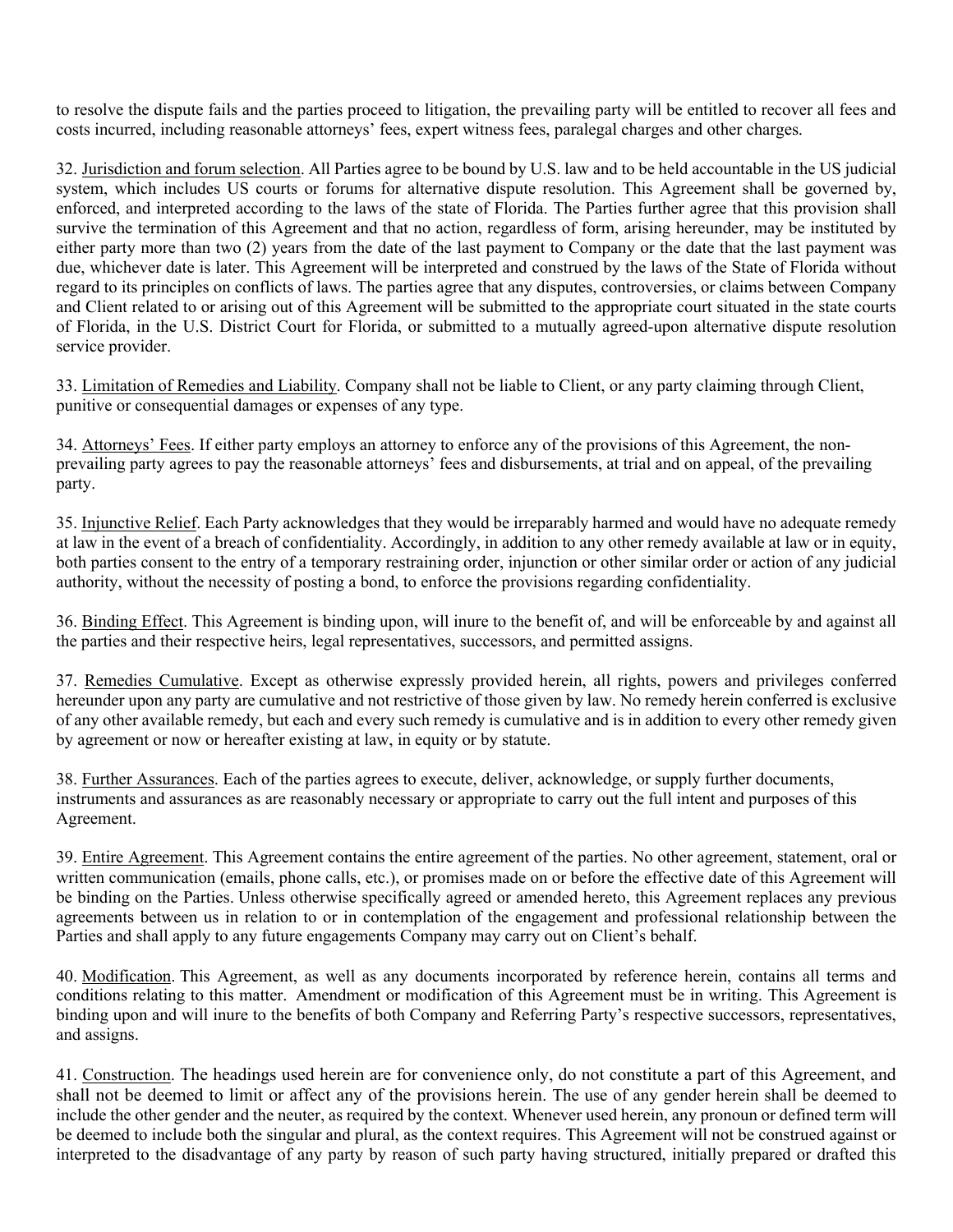to resolve the dispute fails and the parties proceed to litigation, the prevailing party will be entitled to recover all fees and costs incurred, including reasonable attorneys' fees, expert witness fees, paralegal charges and other charges.

32. Jurisdiction and forum selection. All Parties agree to be bound by U.S. law and to be held accountable in the US judicial system, which includes US courts or forums for alternative dispute resolution. This Agreement shall be governed by, enforced, and interpreted according to the laws of the state of Florida. The Parties further agree that this provision shall survive the termination of this Agreement and that no action, regardless of form, arising hereunder, may be instituted by either party more than two (2) years from the date of the last payment to Company or the date that the last payment was due, whichever date is later. This Agreement will be interpreted and construed by the laws of the State of Florida without regard to its principles on conflicts of laws. The parties agree that any disputes, controversies, or claims between Company and Client related to or arising out of this Agreement will be submitted to the appropriate court situated in the state courts of Florida, in the U.S. District Court for Florida, or submitted to a mutually agreed-upon alternative dispute resolution service provider.

33. Limitation of Remedies and Liability. Company shall not be liable to Client, or any party claiming through Client, punitive or consequential damages or expenses of any type.

34. Attorneys' Fees. If either party employs an attorney to enforce any of the provisions of this Agreement, the nonprevailing party agrees to pay the reasonable attorneys' fees and disbursements, at trial and on appeal, of the prevailing party.

35. Injunctive Relief. Each Party acknowledges that they would be irreparably harmed and would have no adequate remedy at law in the event of a breach of confidentiality. Accordingly, in addition to any other remedy available at law or in equity, both parties consent to the entry of a temporary restraining order, injunction or other similar order or action of any judicial authority, without the necessity of posting a bond, to enforce the provisions regarding confidentiality.

36. Binding Effect. This Agreement is binding upon, will inure to the benefit of, and will be enforceable by and against all the parties and their respective heirs, legal representatives, successors, and permitted assigns.

37. Remedies Cumulative. Except as otherwise expressly provided herein, all rights, powers and privileges conferred hereunder upon any party are cumulative and not restrictive of those given by law. No remedy herein conferred is exclusive of any other available remedy, but each and every such remedy is cumulative and is in addition to every other remedy given by agreement or now or hereafter existing at law, in equity or by statute.

38. Further Assurances. Each of the parties agrees to execute, deliver, acknowledge, or supply further documents, instruments and assurances as are reasonably necessary or appropriate to carry out the full intent and purposes of this Agreement.

39. Entire Agreement. This Agreement contains the entire agreement of the parties. No other agreement, statement, oral or written communication (emails, phone calls, etc.), or promises made on or before the effective date of this Agreement will be binding on the Parties. Unless otherwise specifically agreed or amended hereto, this Agreement replaces any previous agreements between us in relation to or in contemplation of the engagement and professional relationship between the Parties and shall apply to any future engagements Company may carry out on Client's behalf.

40. Modification. This Agreement, as well as any documents incorporated by reference herein, contains all terms and conditions relating to this matter. Amendment or modification of this Agreement must be in writing. This Agreement is binding upon and will inure to the benefits of both Company and Referring Party's respective successors, representatives, and assigns.

41. Construction. The headings used herein are for convenience only, do not constitute a part of this Agreement, and shall not be deemed to limit or affect any of the provisions herein. The use of any gender herein shall be deemed to include the other gender and the neuter, as required by the context. Whenever used herein, any pronoun or defined term will be deemed to include both the singular and plural, as the context requires. This Agreement will not be construed against or interpreted to the disadvantage of any party by reason of such party having structured, initially prepared or drafted this